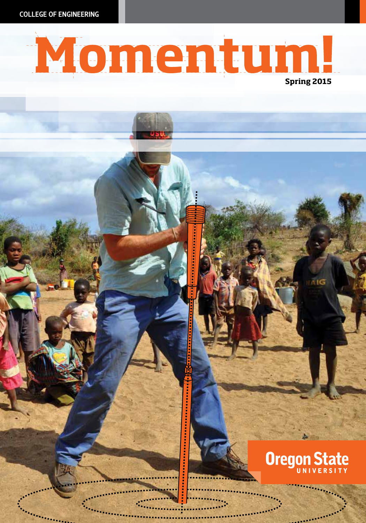COLLEGE OF ENGINEERING

# Momentum!

## **Oregon State**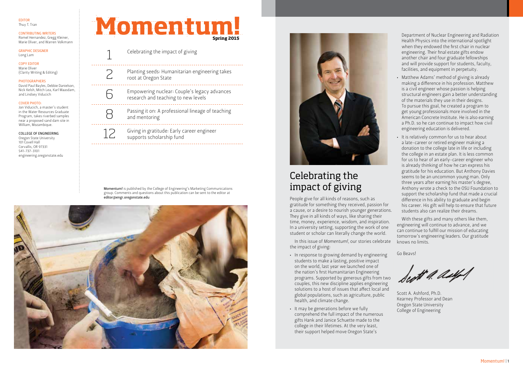#### EDITOR Thuy T. Tran

### CONTRIBUTING WRITERS

Romel Hernandez, Gregg Kleiner, Marie Oliver, and Warren Volkmann

#### GRAPHIC DESIGNER Long Lam

#### COPY EDITOR Marie Oliver (Clarity Writing & Editing)

#### PHOTOGRAPHERS

David Paul Bayles, Debbie Danielson, Nick Kelsh, Mitch Lea, Karl Maasdam, and Lindsey Viducich

#### COVER PHOTO:

Jon Viducich, a master's student in the Water Resources Graduate Program, takes riverbed samples near a proposed sand dam site in William, Mozambique.

#### COLLEGE OF ENGINEERING Oregon State University

101 Covell Hall Corvallis, OR 97331 541-737-3101 engineering.oregonstate.edu



Momentum

 $\sum_{\text{root at Oregon State}}$ root at Oregon State

**Spring 2015**

- Empowering nuclear: Couple's legacy advances research and teaching to new levels
- $\begin{array}{cccccccccc} \bot & \bot & \bot & \bot & \bot & \bot \end{array}$ Passing it on: A professional lineage of teaching and mentoring
- Giving in gratitude: Early career engineer supports scholarship fund

6

.<br>. . . . . .

8

<u>. . . . . . . . . . . . . .</u>

Momentum! is published by the College of Engineering's Marketing Communications group. Comments and questions about this publication can be sent to the editor at editor@engr.oregonstate.edu





## Celebrating the impact of giving

People give for all kinds of reasons, such as gratitude for something they received, passion for a cause, or a desire to nourish younger generations. They give in all kinds of ways, like sharing their time, money, experience, wisdom, and inspiration. In a university setting, supporting the work of one student or scholar can literally change the world.

In this issue of *Momentum!*, our stories celebrate the impact of giving:

- In response to growing demand by engineering students to make a lasting, positive impact on the world, last year we launched one of the nation's first Humanitarian Engineering programs. Supported by generous gifts from two couples, this new discipline applies engineering solutions to a host of issues that affect local and global populations, such as agriculture, public health, and climate change.
- It may be generations before we fully comprehend the full impact of the numerous gifts Hank and Janice Schuette made to the college in their lifetimes. At the very least, their support helped move Oregon State's

Department of Nuclear Engineering and Radiation Health Physics into the international spotlight when they endowed the first chair in nuclear engineering. Their final estate gifts endow another chair and four graduate fellowships and will provide support for students, faculty, facilities, and equipment in perpetuity.

- Matthew Adams' method of giving is already making a difference in his profession. Matthew is a civil engineer whose passion is helping structural engineers gain a better understanding of the materials they use in their designs. To pursue this goal, he created a program to get young professionals more involved in the American Concrete Institute. He is also earning a Ph.D. so he can continue to impact how civil engineering education is delivered.
- It is relatively common for us to hear about a late-career or retired engineer making a donation to the college late in life or including the college in an estate plan. It is less common for us to hear of an early-career engineer who is already thinking of how he can express his gratitude for his education. But Anthony Davies seems to be an uncommon young man. Only three years after earning his master's degree, Anthony wrote a check to the OSU Foundation to support the scholarship fund that made a crucial difference in his ability to graduate and begin his career. His gift will help to ensure that future students also can realize their dreams.

With these gifts and many others like them, engineering will continue to advance, and we can continue to fulfill our mission of educating tomorrow's engineering leaders. Our gratitude knows no limits.

Go Beavs!

Scott A. Ashford, Ph.D. Kearney Professor and Dean Oregon State University College of Engineering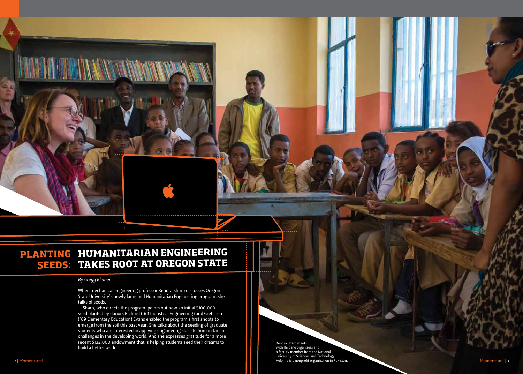## PLANTING HUMANITARIAN ENGINEERING **TAKES ROOT AT OREGON STATE SEEDS:**

#### *By Gregg Kleiner*

When mechanical engineering professor Kendra Sharp discusses Oregon State University's newly launched Humanitarian Engineering program, she talks of seeds.

Sharp, who directs the program, points out how an initial \$100,000 seed planted by donors Richard ('69 Industrial Engineering) and Gretchen ('69 Elementary Education) Evans enabled the program's first shoots to emerge from the soil this past year. She talks about the seeding of graduate students who are interested in applying engineering skills to humanitarian challenges in the developing world. And she expresses gratitude for a more recent \$132,000 endowment that is helping students seed their dreams to build a better world.

Kendra Sharp meets with Helpline organizers and a faculty member from the National University of Sciences and Technology. 2 | Momentum! Nomentum! | Momentum! | Momentum! | Momentum | Momentum | Momentum | Momentum | Momentum | Momentum | Momentum | Momentum | Momentum | Momentum | Momentum | Momentum | Momentum | Momentum | Momentum | Momentu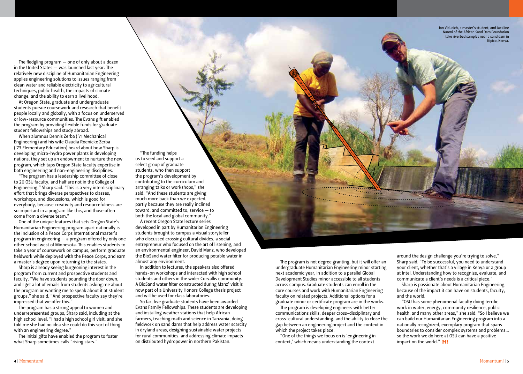Jon Viducich, a master's student, and Jackline Naomi of the African Sand Dam Foundation take riverbed samples near a sand dam in Kipico, Kenya.

The fledgling program — one of only about a dozen in the United States — was launched last year. The relatively new discipline of Humanitarian Engineering applies engineering solutions to issues ranging from clean water and reliable electricity to agricultural techniques, public health, the impacts of climate change, and the ability to earn a livelihood.

At Oregon State, graduate and undergraduate students pursue coursework and research that benefit people locally and globally, with a focus on underserved or low-resource communities. The Evans gift enabled the program by providing flexible funds for graduate student fellowships and study abroad.

When alumnus Dennis Zerba ('71 Mechanical Engineering) and his wife Claudia Roenicke Zerba ('73 Elementary Education) heard about how Sharp is developing micro-hydro power plants in developing nations, they set up an endowment to nurture the new program, which taps Oregon State faculty expertise in both engineering and non-engineering disciplines.

"The program has a leadership committee of close to 20 OSU faculty, and half are not in the College of Engineering," Sharp said. "This is a very interdisciplinary effort that brings diverse perspectives to classes, workshops, and discussions, which is good for everybody, because creativity and resourcefulness are so important in a program like this, and those often come from a diverse team."

One of the unique features that sets Oregon State's Humanitarian Engineering program apart nationally is the inclusion of a Peace Corps International master's program in engineering — a program offered by only one other school west of Minnesota. This enables students to take a year of coursework on campus, perform graduate fieldwork while deployed with the Peace Corps, and earn a master's degree upon returning to the states.

Sharp is already seeing burgeoning interest in the program from current and prospective students and faculty. "We have students pounding the door down, and I get a lot of emails from students asking me about the program or wanting me to speak about it at student groups," she said. "And prospective faculty say they're impressed that we offer this."

The program has a strong appeal to women and underrepresented groups, Sharp said, including at the high school level. "I had a high school girl visit, and she told me she had no idea she could do this sort of thing with an engineering degree."

The initial gifts have enabled the program to foster what Sharp sometimes calls "rising stars."

"The funding helps us to seed and support a select group of graduate students, who then support the program's development by contributing to the curriculum and arranging talks or workshops," she said. "And these students are giving much more back than we expected, partly because they are really inclined toward, and committed to, service — to both the local and global community."

A recent Oregon State lecture series developed in part by Humanitarian Engineering students brought to campus a visual storyteller who discussed crossing cultural divides, a social entrepreneur who focused on the art of listening, and an environmental engineer, David Manz, who developed the BioSand water filter for producing potable water in almost any environment.

In addition to lectures, the speakers also offered hands-on workshops and interacted with high school students and others in the wider Corvallis community. A BioSand water filter constructed during Manz' visit is now part of a University Honors College thesis project and will be used for class laboratories.

So far, five graduate students have been awarded Evans Family Fellowships. These students are developing and installing weather stations that help African farmers, teaching math and science in Tanzania, doing fieldwork on sand dams that help address water scarcity in dryland areas, designing sustainable water projects for rural communities, and addressing climate impacts on distributed hydropower in northern Pakistan.

The program is not degree granting, but it will offer an undergraduate Humanitarian Engineering minor starting next academic year, in addition to a parallel Global Development Studies minor accessible to all students across campus. Graduate students can enroll in the core courses and work with Humanitarian Engineering faculty on related projects. Additional options for a graduate minor or certificate program are in the works.

The program is developing engineers with better communications skills, deeper cross-disciplinary and cross-cultural understanding, and the ability to close the gap between an engineering project and the context in which the project takes place.

"One of the things we focus on is 'engineering in context,' which means understanding the context

around the design challenge you're trying to solve," Sharp said. "To be successful, you need to understand your client, whether that's a village in Kenya or a group at Intel. Understanding how to recognize, evaluate, and communicate a client's needs is a critical piece."

Sharp is passionate about Humanitarian Engineering because of the impact it can have on students, faculty, and the world.

"OSU has some phenomenal faculty doing terrific work in water, energy, community resilience, public health, and many other areas," she said. "So I believe we can build our Humanitarian Engineering program into a nationally recognized, exemplary program that spans boundaries to consider complex systems and problems… so the work we do here at OSU can have a positive impact on the world." M!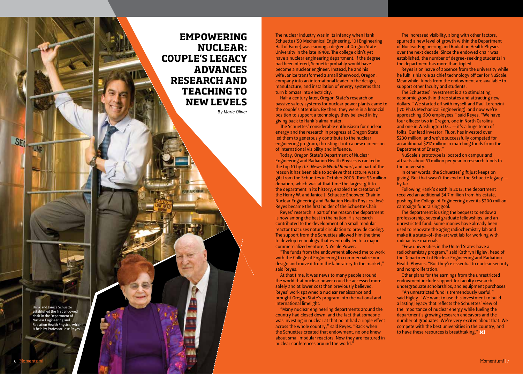**EMPOWERING NUCLEAR: COUPLE'S LEGACY ADVANCES RESEARCH AND TEACHING TO NEW LEVELS**

*By Marie Oliver*

The nuclear industry was in its infancy when Hank Schuette ('50 Mechanical Engineering, '01 Engineering Hall of Fame) was earning a degree at Oregon State University in the late 1940s. The college didn't yet have a nuclear engineering department. If the degree had been offered, Schuette probably would have become a nuclear engineer. Instead, he and his wife Janice transformed a small Sherwood, Oregon, company into an international leader in the design, manufacture, and installation of energy systems that

Half a century later, Oregon State's research on passive safety systems for nuclear power plants came to the couple's attention. By then, they were in a financial position to support a technology they believed in by

The Schuettes' considerable enthusiasm for nuclear energy and the research in progress at Oregon State led them to generously contribute to the nuclear engineering program, thrusting it into a new dimension

turn biomass into electricity.

giving back to Hank's alma mater.

of international visibility and influence.

commercialized venture, NuScale Power.

nuclear conferences around the world."

said Reyes.

international limelight.

"The funds from the endowment allowed me to work with the College of Engineering to commercialize our design and move it from the laboratory to the market,"

At that time, it was news to many people around the world that nuclear power could be accessed more safely and at lower cost than previously believed. Reyes' work spawned a nuclear renaissance and brought Oregon State's program into the national and

"Many nuclear engineering departments around the country had closed down, and the fact that someone was investing in nuclear at that point had a ripple effect across the whole country," said Reyes. "Back when the Schuettes created that endowment, no one knew about small modular reactors. Now they are featured in

Today, Oregon State's Department of Nuclear Engineering and Radiation Health Physics is ranked in the top 10 by *U.S. News & World Report*, and part of the reason it has been able to achieve that stature was a gift from the Schuettes in October 2003. Their \$3 million donation, which was at that time the largest gift to the department in its history, enabled the creation of the Henry W. and Janice J. Schuette Endowed Chair in Nuclear Engineering and Radiation Health Physics. José Reyes became the first holder of the Schuette Chair. Reyes' research is part of the reason the department is now among the best in the nation. His research contributed to the development of a small modular reactor that uses natural circulation to provide cooling. The support from the Schuettes allowed him the time to develop technology that eventually led to a major

Hank and Janice Schuette established the first endowed chair in the Department of Nuclear Engineering and Radiation Health Physics, which is held by Professor José Reyes.

SE<sub>(</sub>

UMD

The increased visibility, along with other factors, spurred a new level of growth within the Department of Nuclear Engineering and Radiation Health Physics over the next decade. Since the endowed chair was established, the number of degree-seeking students in the department has more than tripled.

Reyes is on leave of absence from the university while he fulfills his role as chief technology officer for NuScale. Meanwhile, funds from the endowment are available to support other faculty and students.

The Schuettes' investment is also stimulating economic growth in three states and attracting new dollars. "We started off with myself and Paul Lorenzini ('70 Ph.D. Mechanical Engineering), and now we're approaching 600 employees," said Reyes. "We have four offices: two in Oregon, one in North Carolina and one in Washington D.C. — it's a huge team of folks. Our lead investor, Fluor, has invested over \$230 million, and we've successfully competed for an additional \$217 million in matching funds from the Department of Energy."

NuScale's prototype is located on campus and attracts about \$1 million per year in research funds to the university.

In other words, the Schuettes' gift just keeps on giving. But that wasn't the end of the Schuette legacy by far.

Following Hank's death in 2013, the department received an additional \$4.7 million from his estate, pushing the College of Engineering over its \$200 million campaign fundraising goal.

The department is using the bequest to endow a professorship, several graduate fellowships, and an unrestricted fund. Some monies have already been used to renovate the aging radiochemistry lab and make it a state-of-the-art wet lab for working with radioactive materials.

"Few universities in the United States have a radiochemistry program," said Kathryn Higley, head of the Department of Nuclear Engineering and Radiation Health Physics. "But they're essential to nuclear security and nonproliferation."

Other plans for the earnings from the unrestricted endowment include support for faculty research, undergraduate scholarships, and equipment purchases.

"An unrestricted fund is tremendously useful," said Higley. "We want to use this investment to build a lasting legacy that reflects the Schuettes' view of the importance of nuclear energy while fueling the department's growing research endeavors and the number of graduates. We're very excited about that. We compete with the best universities in the country, and to have these resources is breathtaking." M!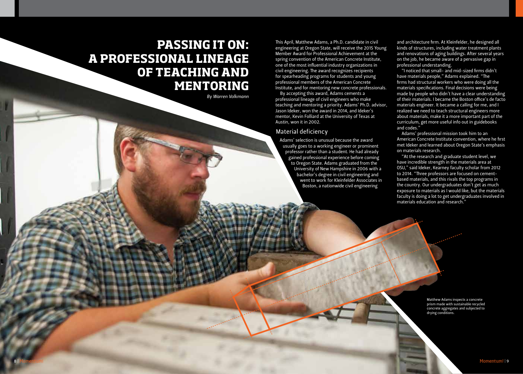## **PASSING IT ON: A PROFESSIONAL LINEAGE OF TEACHING AND MENTORING**

*By Warren Volkmann*

This April, Matthew Adams, a Ph.D. candidate in civil engineering at Oregon State, will receive the 2015 Young Member Award for Professional Achievement at the spring convention of the American Concrete Institute, one of the most influential industry organizations in civil engineering. The award recognizes recipients for spearheading programs for students and young professional members of the American Concrete Institute, and for mentoring new concrete professionals.

By accepting this award, Adams cements a professional lineage of civil engineers who make teaching and mentoring a priority. Adams' Ph.D. advisor, Jason Ideker, won the award in 2014, and Ideker's mentor, Kevin Folliard at the University of Texas at Austin, won it in 2002.

#### Material deficiency

Adams' selection is unusual because the award usually goes to a working engineer or prominent professor rather than a student. He had already gained professional experience before coming to Oregon State. Adams graduated from the University of New Hampshire in 2006 with a bachelor's degree in civil engineering and went to work for Kleinfelder Associates in Boston, a nationwide civil engineering

and architecture firm. At Kleinfelder, he designed all kinds of structures, including water treatment plants and renovations of aging buildings. After several years on the job, he became aware of a pervasive gap in professional understanding.

"I noticed that small- and mid-sized firms didn't have materials people," Adams explained. "The firms had structural workers who were doing all the materials specifications. Final decisions were being made by people who didn't have a clear understanding of their materials. I became the Boston office's de facto materials engineer. It became a calling for me, and I realized we need to teach structural engineers more about materials, make it a more important part of the curriculum, get more useful info out in guidebooks and codes."

Adams' professional mission took him to an American Concrete Institute convention, where he first met Ideker and learned about Oregon State's emphasis on materials research.

"At the research and graduate student level, we have incredible strength in the materials area at OSU," said Ideker, Kearney faculty scholar from 2012 to 2014. "Three professors are focused on cementbased materials, and this rivals the top programs in the country. Our undergraduates don't get as much exposure to materials as I would like, but the materials faculty is doing a lot to get undergraduates involved in materials education and research."

> Matthew Adams inspects a concrete prism made with sustainable recycled concrete aggregates and subjected to drying conditions.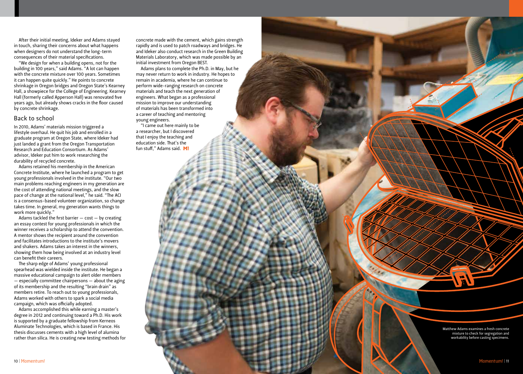After their initial meeting, Ideker and Adams stayed in touch, sharing their concerns about what happens when designers do not understand the long-term consequences of their material specifications.

"We design for when a building opens, not for the building in 100 years," said Adams. "A lot can happen with the concrete mixture over 100 years. Sometimes it can happen quite quickly." He points to concrete shrinkage in Oregon bridges and Oregon State's Kearney Hall, a showpiece for the College of Engineering. Kearney Hall (formerly called Apperson Hall) was renovated five years ago, but already shows cracks in the floor caused by concrete shrinkage.

#### Back to school

In 2010, Adams' materials mission triggered a lifestyle overhaul. He quit his job and enrolled in a graduate program at Oregon State, where Ideker had just landed a grant from the Oregon Transportation Research and Education Consortium. As Adams' advisor, Ideker put him to work researching the durability of recycled concrete.

Adams retained his membership in the American Concrete Institute, where he launched a program to get young professionals involved in the institute. "Our two main problems reaching engineers in my generation are the cost of attending national meetings, and the slow pace of change at the national level," he said. "The ACI is a consensus-based volunteer organization, so change takes time. In general, my generation wants things to work more quickly."

Adams tackled the first barrier  $-$  cost  $-$  by creating an essay contest for young professionals in which the winner receives a scholarship to attend the convention. A mentor shows the recipient around the convention and facilitates introductions to the institute's movers and shakers. Adams takes an interest in the winners, showing them how being involved at an industry level can benefit their careers.

The sharp edge of Adams' young professional spearhead was wielded inside the institute. He began a massive educational campaign to alert older members — especially committee chairpersons — about the aging of its membership and the resulting "brain drain" as members retire. To reach out to young professionals, Adams worked with others to spark a social media campaign, which was officially adopted.

Adams accomplished this while earning a master's degree in 2012 and continuing toward a Ph.D. His work is supported by a graduate fellowship from Kerneos Aluminate Technologies, which is based in France. His thesis discusses cements with a high level of alumina rather than silica. He is creating new testing methods for concrete made with the cement, which gains strength rapidly and is used to patch roadways and bridges. He and Ideker also conduct research in the Green Building Materials Laboratory, which was made possible by an initial investment from Oregon BEST.

Adams plans to complete the Ph.D. in May, but he may never return to work in industry. He hopes to remain in academia, where he can continue to perform wide-ranging research on concrete materials and teach the next generation of engineers. What began as a professional mission to improve our understanding of materials has been transformed into a career of teaching and mentoring young engineers.

"I came out here mainly to be a researcher, but I discovered that I enjoy the teaching and education side. That's the fun stuff," Adams said. M!

> Matthew Adams examines a fresh concrete mixture to check for segregation and workability before casting specimens.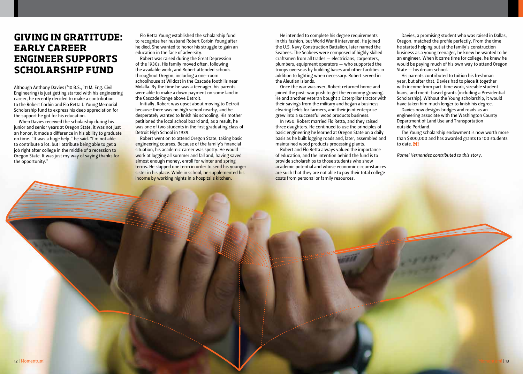## **GIVING IN GRATITUDE: EARLY CAREER ENGINEER SUPPORTS SCHOLARSHIP FUND**

Although Anthony Davies ('10 B.S., '11 M. Eng. Civil Engineering) is just getting started with his engineering career, he recently decided to make a contribution to the Robert Corbin and Flo Retta J. Young Memorial Scholarship fund to express his deep appreciation for the support he got for his education.

When Davies received the scholarship during his junior and senior years at Oregon State, it was not just an honor, it made a difference in his ability to graduate on time. "It was a huge help," he said. "I'm not able to contribute a lot, but I attribute being able to get a job right after college in the middle of a recession to Oregon State. It was just my way of saying thanks for the opportunity."

Flo Retta Young established the scholarship fund to recognize her husband Robert Corbin Young after he died. She wanted to honor his struggle to gain an education in the face of adversity.

Robert was raised during the Great Depression of the 1930s. His family moved often, following the available work, and Robert attended schools throughout Oregon, including a one-room schoolhouse at Wildcat in the Cascade foothills near Molalla. By the time he was a teenager, his parents were able to make a down payment on some land in the Cascade Range above Detroit.

Initially, Robert was upset about moving to Detroit because there was no high school nearby, and he desperately wanted to finish his schooling. His mother petitioned the local school board and, as a result, he was one of two students in the first graduating class of Detroit High School in 1939.

Robert went on to attend Oregon State, taking basic engineering courses. Because of the family's financial situation, his academic career was spotty. He would work at logging all summer and fall and, having saved almost enough money, enroll for winter and spring terms. He skipped one term in order to send his younger sister in his place. While in school, he supplemented his income by working nights in a hospital's kitchen.

He intended to complete his degree requirements in this fashion, but World War II intervened. He joined the U.S. Navy Construction Battalion, later named the Seabees. The Seabees were composed of highly skilled craftsmen from all trades — electricians, carpenters, plumbers, equipment operators — who supported the troops overseas by building bases and other facilities in addition to fighting when necessary. Robert served in the Aleutian Islands.

Once the war was over, Robert returned home and joined the post-war push to get the economy growing. He and another veteran bought a Caterpillar tractor with their savings from the military and began a business clearing fields for farmers, and their joint enterprise grew into a successful wood products business.

In 1950, Robert married Flo Retta, and they raised three daughters. He continued to use the principles of basic engineering he learned at Oregon State on a daily basis as he built logging roads and, later, assembled and maintained wood products processing plants.

Robert and Flo Retta always valued the importance of education, and the intention behind the fund is to provide scholarships to those students who show academic potential and whose economic circumstances are such that they are not able to pay their total college costs from personal or family resources.

Davies, a promising student who was raised in Dallas, Oregon, matched the profile perfectly. From the time he started helping out at the family's construction business as a young teenager, he knew he wanted to be an engineer. When it came time for college, he knew he would be paying much of his own way to attend Oregon State — his dream school.

His parents contributed to tuition his freshman year, but after that, Davies had to piece it together with income from part-time work, sizeable student loans, and merit-based grants (including a Presidential Scholarship). Without the Young scholarship, it would have taken him much longer to finish his degree.

Davies now designs bridges and roads as an engineering associate with the Washington County Department of Land Use and Transportation outside Portland.

The Young scholarship endowment is now worth more than \$800,000 and has awarded grants to 100 students to date. M!

*Romel Hernandez contributed to this story.*